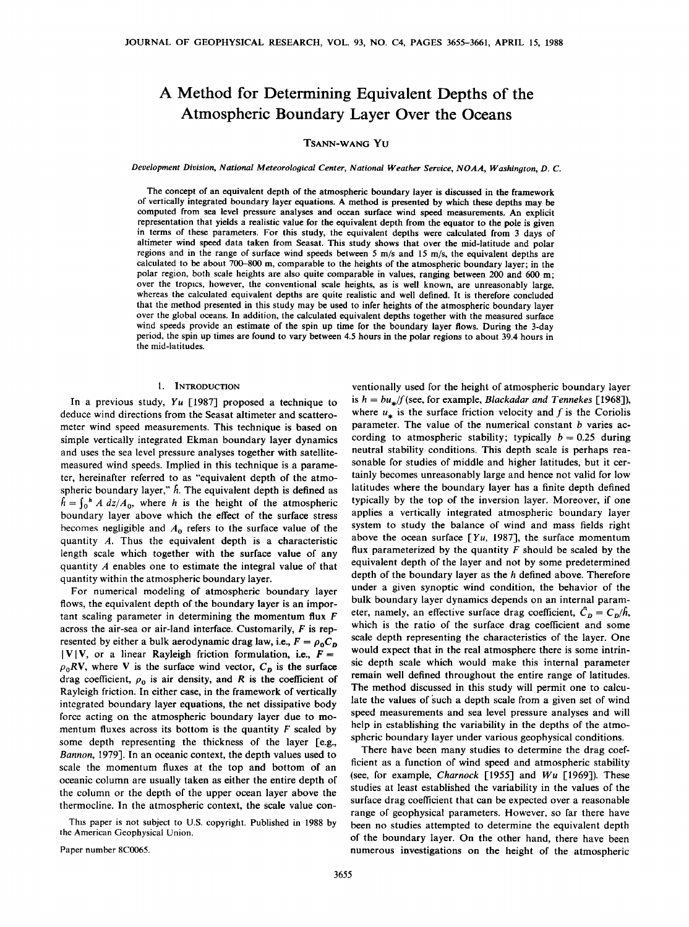# **A Method for Determining Equivalent Depths of the Atmospheric Boundary Layer Over the Oceans**

# **TSANN-WANG YU**

#### Development Division, National Meteorological Center, National Weather Service, NOAA, Washington, D. C.

**The concept of an equivalent depth of the atmospheric boundary layer is discussed in the framework of vertically integrated boundary layer equations. A method is presented by which these depths may be computed from sea level pressure analyses and ocean surface wind speed measurements. An explicit representation that yields a realistic value for the equivalent depth from the equator to the pole is given in terms of these parameters. For this study, the equivalent depths were calculated from 3 days of altimeter wind speed data taken from Seasat. This study shows that over the mid-latitude and polar regions and in the range of surface wind speeds between 5 m/s and 15 m/s, the equivalent depths are calculated to be about 700-800 m, comparable to the heights of the atmospheric boundary layer; in the polar region, both scale heights are also quite comparable in values, ranging between 200 and 600 m; over the tropics, however, the conventional scale heights, as is well known, are unreasonably large, whereas the calculated equivalent depths are quite realistic and well defined. It is therefore concluded that the method presented in this study may be used to infer heights of the atmospheric boundary layer over the global oceans. In addition, the calculated equivalent depths together with the measured surface wind speeds provide an estimate of the spin up time for the boundary layer flows. During the 3-day period, the spin up times are found to vary between 4.5 hours in the polar regions to about 39.4 hours in**  the mid-latitudes.

### **1. INTRODUCTION**

**In a previous study, Yu [1987] proposed a technique to deduce wind directions from the Seasat altimeter and scatterometer wind speed measurements. This technique is based on simple vertically integrated Ekman boundary layer dynamics and uses the sea level pressure analyses together with satellitemeasured wind speeds. Implied in this technique is a parameter, hereinafter referred to as "equivalent depth of the atmo**spheric boundary layer,"  $\hat{h}$ . The equivalent depth is defined as  $h = \int_0^h A \, dz / A_0$ , where h is the height of the atmospheric **boundary layer above which the effect of the surface stress**  becomes negligible and  $A_0$  refers to the surface value of the **quantity A. Thus the equivalent depth is a characteristic length scale which together with the surface value of any quantity A enables one to estimate the integral value of that quantity within the atmospheric boundary layer.** 

**For numerical modeling of atmospheric boundary layer flows, the equivalent depth of the boundary layer is an important scaling parameter in determining the momentum flux F across the air-sea or air-land interface. Customarily, F is rep**resented by either a bulk aerodynamic drag law, i.e.,  $F = \rho_0 C_p$  $|V|V$ , or a linear Rayleigh friction formulation, i.e.,  $F =$  $\rho_0 RV$ , where V is the surface wind vector,  $C_p$  is the surface drag coefficient,  $\rho_0$  is air density, and R is the coefficient of **Rayleigh friction. In either case, in the framework of vertically integrated boundary layer equations, the net dissipative body force acting on the atmospheric boundary layer due to momentum fluxes across its bottom is the quantity F scaled by some depth representing the thickness of the layer [e.g., Bannon, 1979]. In an oceanic context, the depth values used to scale the momentum fluxes at the top and bottom of an oceanic column are usually taken as either the entire depth of the column or the depth of the upper ocean layer above the thermocline. In the atmospheric context, the scale value con-**

**This paper is not subject to U.S. copyright. Published in 1988 by the American Geophysical Union.** 

**ventionally used for the height of atmospheric boundary layer**  is  $h = bu_*/f$  (see, for example, *Blackadar and Tennekes* [1968]), where  $u_*$  is the surface friction velocity and f is the Coriolis parameter. The value of the numerical constant *b* varies according to atmospheric stability; typically  $b = 0.25$  during **neutral stability conditions. This depth scale is perhaps reasonable for studies of middle and higher latitudes, but it certainly becomes unreasonably large and hence not valid for low latitudes where the boundary layer has a finite depth defined typically by the top of the inversion layer. Moreover, if one applies a vertically integrated atmospheric boundary layer system to study the balance of wind and mass fields right**  above the ocean surface  $[Yu, 1987]$ , the surface momentum **flux parameterized by the quantity F should be scaled by the equivalent depth of the layer and not by some predetermined depth of the boundary layer as the h defined above. Therefore under a given synoptic wind condition, the behavior of the bulk boundary layer dynamics depends on an internal param**eter, namely, an effective surface drag coefficient,  $\hat{C}_D = C_D/\hat{h}$ , **which is the ratio of the surface drag coefficient and some scale depth representing the characteristics of the layer. One would expect that in the real atmosphere there is some intrinsic depth scale which would make this internal parameter remain well defined throughout the entire range of latitudes. The method discussed in this study will permit one to calcu**late the values of such a depth scale from a given set of wind **speed measurements and sea level pressure analyses and will help in establishing the variability in the depths of the atmospheric boundary layer under various geophysical conditions.** 

**There have been many studies to determine the drag coefficient as a function of wind speed and atmospheric stability (see, for example, Charnock [1955] and Wu [1969]). These studies at least established the variability in the values of the surface drag coefficient that can be expected over a reasonable range of geophysical parameters. However, so far there have been no studies attempted to determine the equivalent depth of the boundary layer. On the other hand, there have been numerous investigations on the height of the atmospheric** 

**Paper number 8C0065.**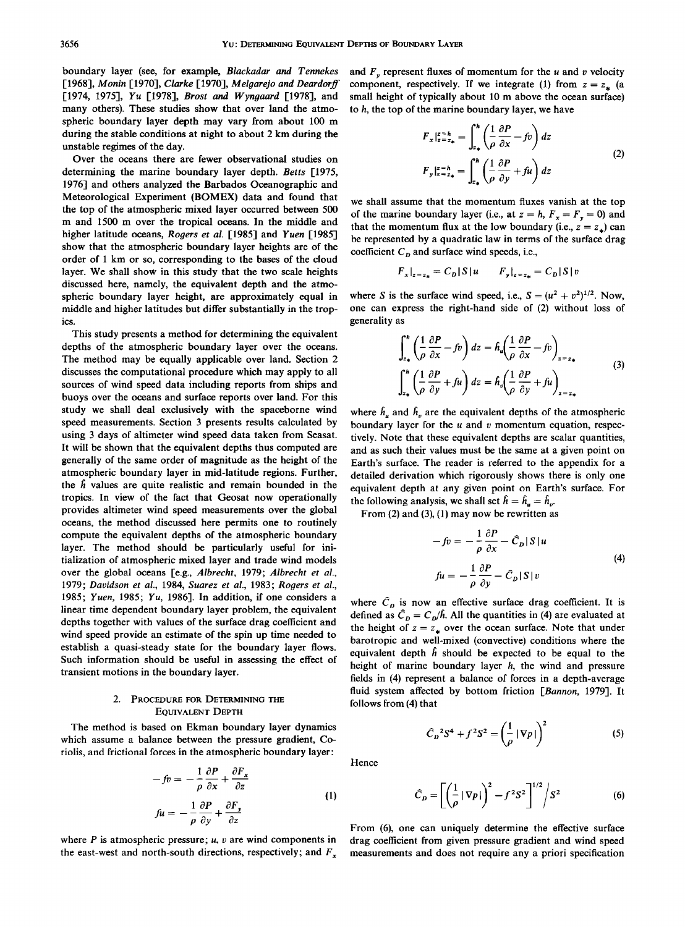**boundary layer (see, for example, Blackadar and Tennekes**  [1968], Monin [1970], Clarke [1970], Melaarejo and Deardorff **[1974, 1975], Yu [1978], Brost and Wyngaard [1978], and many others). These studies show that over land the atmospheric boundary layer depth may vary from about 100 m during the stable conditions at night to about 2 km during the unstable regimes of the day.** 

**Over the oceans there are fewer observational studies on determining the marine boundary layer depth. Betts [1975, 1976] and others analyzed the Barbados Oceanographic and Meteorological Experiment (BOMEX) data and found that the top of the atmospheric mixed layer occurred between 500 m and 1500 m over the tropical oceans. In the middle and higher latitude oceans, Rogers et al. [1985] and Yuen [1985] show that the atmospheric boundary layer heights are of the order of 1 km or so, corresponding to the bases of the cloud layer. We shall show in this study that the two scale heights discussed here, namely, the equivalent depth and the atmospheric boundary layer height, are approximately equal in middle and higher latitudes but differ substantially in the tropics.** 

**This study presents a method for determining the equivalent depths of the atmospheric boundary layer over the oceans. The method may be equally applicable over land. Section 2 discusses the computational procedure which may apply to all sources of wind speed data including reports from ships and buoys over the oceans and surface reports over land. For this study we shall deal exclusively with the spaceborne wind speed measurements. Section 3 presents results calculated by using 3 days of altimeter wind speed data taken from Seasat. It will be shown that the equivalent depths thus computed are generally of the same order of magnitude as the height of the atmospheric boundary layer in mid-latitude regions. Further, the fi values are quite realistic and remain bounded in the tropics. In view of the fact that Geosat now operationally provides altimeter wind speed measurements over the global oceans, the method discussed here permits one to routinely compute the equivalent depths of the atmospheric boundary layer. The method should be particularly useful for initialization of atmospheric mixed layer and trade wind models over the global oceans [e.g., Albrecht, 1979; Albrecht et al., 1979; Davidson et al., 1984, Suarez et al., 1983; Rogers et al., 1985; Yuen, 1985; Yu, 1986]. In addition, if one considers a linear time dependent boundary layer problem, the equivalent depths together with values of the surface drag coefficient and wind speed provide an estimate of the spin up time needed to establish a quasi-steady state for the boundary layer flows. Such information should be useful in assessing the effect of transient motions in the boundary layer.** 

## **2. PROCEDURE FOR DETERMINING THE EQUIVALENT DEPTH**

**The method is based on Ekman boundary layer dynamics which assume a balance between the pressure gradient, Coriolis, and frictional forces in the atmospheric boundary layer:** 

$$
-fv = -\frac{1}{\rho} \frac{\partial P}{\partial x} + \frac{\partial F_x}{\partial z}
$$
  

$$
fu = -\frac{1}{\rho} \frac{\partial P}{\partial y} + \frac{\partial F_y}{\partial z}
$$
 (1)

**where P is atmospheric pressure; u, v are wind components in**  the east-west and north-south directions, respectively; and  $F<sub>x</sub>$ 

and  $F<sub>w</sub>$  represent fluxes of momentum for the  $u$  and  $v$  velocity component, respectively. If we integrate (1) from  $z = z_+$  (a **small height of typically about 10 m above the ocean surface) to h, the top of the marine boundary layer, we have** 

$$
F_x \Big|_{z=z_*}^{z=h} = \int_{z_*}^h \left( \frac{1}{\rho} \frac{\partial P}{\partial x} - f v \right) dz
$$
  
\n
$$
F_y \Big|_{z=z_*}^{z=h} = \int_{z_*}^h \left( \frac{1}{\rho} \frac{\partial P}{\partial y} + f u \right) dz
$$
 (2)

**we shall assume that the momentum fluxes vanish at the top**  of the marine boundary layer (i.e., at  $z = h$ ,  $F_x = F_y = 0$ ) and that the momentum flux at the low boundary (i.e.,  $z = z_{\star}$ ) can **be represented by a quadratic law in terms of the surface drag**  coefficient  $C<sub>p</sub>$  and surface wind speeds, i.e.,

$$
F_x|_{z=z_*} = C_D |S| u \t F_y|_{z=z_*} = C_D |S| v
$$

where S is the surface wind speed, i.e.,  $S = (u^2 + v^2)^{1/2}$ . Now, **one can express the right-hand side of (2) without loss of generality as** 

$$
\int_{z_{*}}^{h} \left( \frac{1}{\rho} \frac{\partial P}{\partial x} - f v \right) dz = h_{u} \left( \frac{1}{\rho} \frac{\partial P}{\partial x} - f v \right)_{z = z_{*}}
$$
\n
$$
\int_{z_{*}}^{h} \left( \frac{1}{\rho} \frac{\partial P}{\partial y} + f u \right) dz = h_{v} \left( \frac{1}{\rho} \frac{\partial P}{\partial y} + f u \right)_{z = z_{*}}
$$
\n(3)

where  $h_u$  and  $h_v$  are the equivalent depths of the atmospheric **boundary layer for the u and v momentum equation, respectively. Note that these equivalent depths are scalar quantities, and as such their values must be the same at a given point on Earth's surface. The reader is referred to the appendix for a detailed derivation which rigorously shows there is only one equivalent depth at any given point on Earth's surface. For**  the following analysis, we shall set  $\hat{h} = \hat{h}_{u} = \hat{h}_{u}$ .

**From (2) and (3), (1) may now be rewritten as** 

$$
-fv = -\frac{1}{\rho} \frac{\partial P}{\partial x} - \hat{C}_D |S| u
$$
  

$$
fu = -\frac{1}{\rho} \frac{\partial P}{\partial y} - \hat{C}_D |S| v
$$
 (4)

where  $\hat{C}_p$  is now an effective surface drag coefficient. It is defined as  $\hat{C}_p = C_p/\hat{h}$ . All the quantities in (4) are evaluated at the height of  $z = z_*$  over the ocean surface. Note that under **barotropic and well-mixed (convective) conditions where the**  equivalent depth  $\hat{h}$  should be expected to be equal to the **height of marine boundary layer h, the wind and pressure fields in (4) represent a balance of forces in a depth-average fluid system affected by bottom friction [Bannon, 1979]. It follows from (4) that** 

$$
\hat{C}_D{}^2 S^4 + f^2 S^2 = \left(\frac{1}{\rho} |\nabla p|\right)^2 \tag{5}
$$

**Hence** 

$$
\widehat{C}_D = \left[ \left( \frac{1}{\rho} \left| \nabla p \right| \right)^2 - f^2 S^2 \right]^{1/2} / S^2 \tag{6}
$$

**From (6), one can uniquely determine the effective surface drag coefficient from given pressure gradient and wind speed measurements and does not require any a priori specification**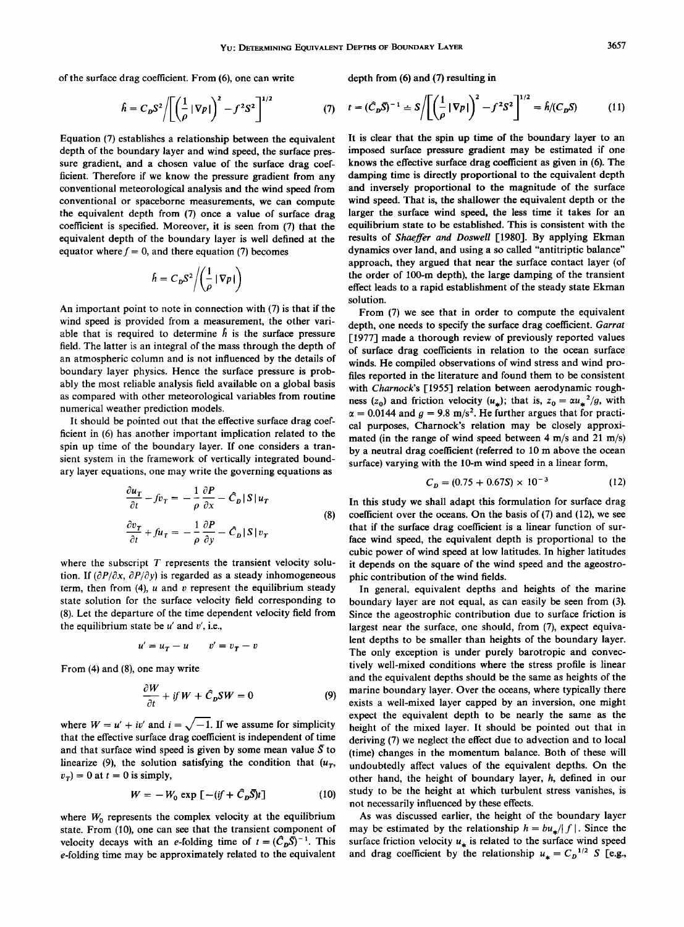**of the surface drag coefficient. From (6), one can write** 

Í

$$
\hat{h} = C_D S^2 / \left[ \left( \frac{1}{\rho} | \nabla p | \right)^2 - f^2 S^2 \right]^{1/2} \tag{7}
$$

**Equation (7) establishes a relationship between the equivalent depth of the boundary layer and wind speed, the surface pressure gradient, and a chosen value of the surface drag coefficient. Therefore if we know the pressure gradient from any conventional meteorological analysis and the wind speed from conventional or spaceborne measurements, we can compute the equivalent depth from (7) once a value of surface drag coefficient is specified. Moreover, it is seen from (7) that the equivalent depth of the boundary layer is well defined at the**  equator where  $f = 0$ , and there equation (7) becomes

$$
\hat{h} = C_D S^2 / \left(\frac{1}{\rho} |\nabla p| \right)
$$

**An important point to note in connection with (7) is that if the wind speed is provided from a measurement, the other vari**able that is required to determine  $h$  is the surface pressure field. The latter is an integral of the mass through the depth of **an atmospheric column and is not influenced by the details of boundary layer physics. Hence the surface pressure is probably the most reliable analysis field available on a global basis as compared with other meteorological variables from routine numerical weather prediction models.** 

**It should be pointed out that the effective surface drag coefficient in (6) has another important implication related to the spin up time of the boundary layer. If one considers a transient system in the framework of vertically integrated boundary layer equations, one may write the governing equations as** 

$$
\frac{\partial u_T}{\partial t} - f v_T = -\frac{1}{\rho} \frac{\partial P}{\partial x} - \hat{C}_D |S| u_T
$$
  

$$
\frac{\partial v_T}{\partial t} + f u_T = -\frac{1}{\rho} \frac{\partial P}{\partial y} - \hat{C}_D |S| v_T
$$
 (8)

where the subscript T represents the transient velocity solution. If  $\left(\frac{\partial P}{\partial x}, \frac{\partial P}{\partial y}\right)$  is regarded as a steady inhomogeneous **term, then from (4), u and v represent the equilibrium steady state solution for the surface velocity field corresponding to (8). Let the departure of the time dependent velocity field from the equilibrium state be u' and v', i.e.,** 

$$
u' = u_T - u \qquad v' = v_T - v
$$

**From (4) and (8), one may write** 

$$
\frac{\partial W}{\partial t} + if W + \hat{C}_D SW = 0 \tag{9}
$$

where  $W = u' + iv'$  and  $i = \sqrt{-1}$ . If we assume for simplicity **that the effective surface drag coefficient is independent of time**  and that surface wind speed is given by some mean value  $\bar{S}$  to linearize (9), the solution satisfying the condition that  $(u_T,$  $v_r$ ) = 0 at t = 0 is simply,

$$
W = -W_0 \exp\left[-(if + \hat{C}_D \overline{S})t\right]
$$
 (10)

where  $W_0$  represents the complex velocity at the equilibrium **state. From (10), one can see that the transient component of**  velocity decays with an *e*-folding time of  $t = (\hat{C}_p \bar{S})^{-1}$ . This **e-folding time may be approximately related to the equivalent** 

**depth from (6) and (7) resulting in** 

$$
t = (\hat{C}_D \bar{S})^{-1} \doteq S / \left[ \left( \frac{1}{\rho} | \nabla p | \right)^2 - f^2 S^2 \right]^{1/2} = \hat{h}/(C_D S) \tag{11}
$$

**It is dear that the spin up time of the boundary layer to an imposed surface pressure gradient may be estimated if one knows the effective surface drag coefficient as given in (6). The damping time is directly proportional to the equivalent depth and inversely proportional to the magnitude of the surface wind speed. That is, the shallower the equivalent depth or the larger the surface wind speed, the less time it takes for an equilibrium state to be established. This is consistent with the results of Shaeffer and Doswell [1980]. By applying Ekman dynamics over land, and using a so called "antitriptic balance" approach, they argued that near the surface contact layer (of the order of 100-m depth), the large damping of the transient effect leads to a rapid establishment of the steady state Ekman solution.** 

**From (7) we see that in order to compute the equivalent depth, one needs to specify the surface drag coefficient. Garrat [1977] made a thorough review of previously reported values of surface drag coefficients in relation to the ocean surface winds. He compiled observations of wind stress and wind profiles reported in the literature and found them to be consistent**  with Charnock's [1955] relation between aerodynamic roughness (z<sub>0</sub>) and friction velocity (u<sub>\*</sub>); that is,  $z_0 = \alpha u_*^2/g$ , with  $\alpha = 0.0144$  and  $q = 9.8$  m/s<sup>2</sup>. He further argues that for practi**cal purposes, Charnock's relation may be closely approximated (in the range of wind speed between 4 m/s and 21 m/s) by a neutral drag coefficient (referred to 10 m above the ocean surface) varying with the 10-m wind speed in a linear form,** 

$$
C_D = (0.75 + 0.67S) \times 10^{-3} \tag{12}
$$

**In this study we shall adapt this formulation for surface drag coefficient over the oceans. On the basis of (7) and (12), we see that if the surface drag coefficient is a linear function of surface wind speed, the equivalent depth is proportional to the cubic power of wind speed at low latitudes. In higher latitudes it depends on the square of the wind speed and the ageostrophic contribution of the wind fields.** 

**In general, equivalent depths and heights of the marine boundary layer are not equal, as can easily be seen from (3). Since the ageostrophic contribution due to surface friction is largest near the surface, one should, from (7), expect equivalent depths to be smaller than heights of the boundary layer. The only exception is under purely barotropic and convectively well-mixed conditions where the stress profile is linear and the equivalent depths should be the same as heights of the marine boundary layer. Over the oceans, where typically there exists a well-mixed layer capped by an inversion, one might expect the equivalent depth to be nearly the same as the height of the mixed layer. It should be pointed out that in deriving (7) we neglect the effect due to advection and to local (time) changes in the momentum balance. Both of these will undoubtedly affect values of the equivalent depths. On the other hand, the height of boundary layer, h, defined in our study to be the height at which turbulent stress vanishes, is not necessarily influenced by these effects.** 

**As was discussed earlier, the height of the boundary layer**  may be estimated by the relationship  $h = bu_*/|f|$ . Since the surface friction velocity  $u_*$  is related to the surface wind speed and drag coefficient by the relationship  $u_* = C_D^{-1/2} S$  [e.g.,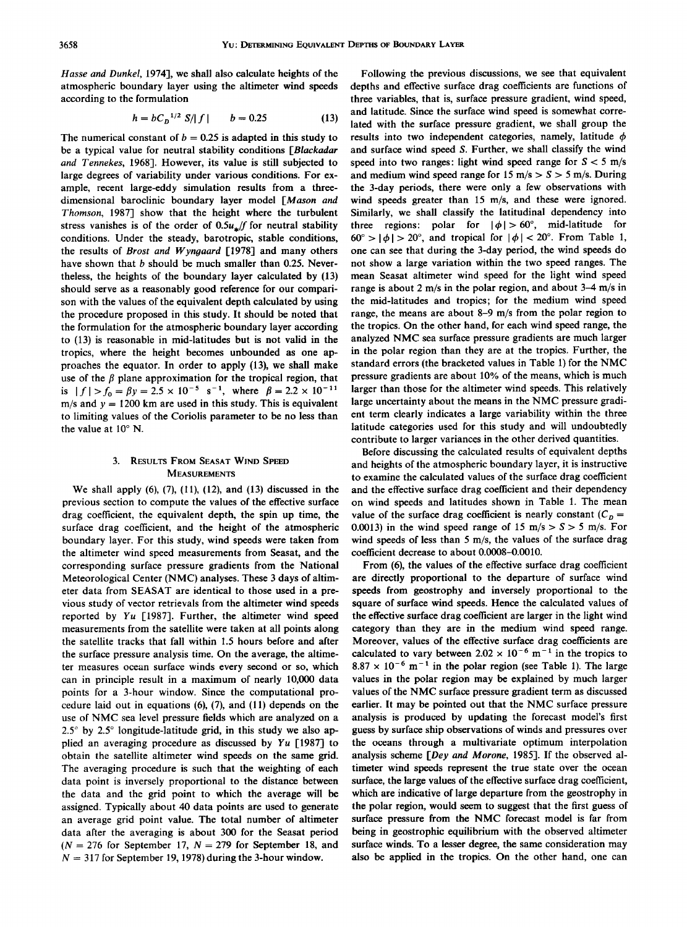**Hasse and Dunkel, 1974], we shall also calculate heights of the atmospheric boundary layer using the altimeter wind speeds according to the formulation** 

$$
h = bC_D^{-1/2} S/|f| \qquad b = 0.25 \tag{13}
$$

The numerical constant of  $b = 0.25$  is adapted in this study to **be a typical value for neutral stability conditions [Blackadar and Tennekes, 1968]. However, its value is still subjected to large degrees of variability under various conditions. For example, recent large-eddy simulation results from a threedimensional baroclinic boundary layer model [Mason and Thomson, 1987] show that the height where the turbulent**  stress vanishes is of the order of  $0.5u$ , *f* for neutral stability **conditions. Under the steady, barotropic, stable conditions, the results of Brost and Wyngaard [1978] and many others have shown that b should be much smaller than 0.25. Nevertheless, the heights of the boundary layer calculated by (13) should serve as a reasonably good reference for our comparison with the values of the equivalent depth calculated by using the procedure proposed in this study. It should be noted that the formulation for the atmospheric boundary layer according to (13) is reasonable in mid-latitudes but is not valid in the tropics, where the height becomes unbounded as one approaches the equator. In order to apply (13), we shall make**  use of the  $\beta$  plane approximation for the tropical region, that is  $|f| > f_0 = \beta y = 2.5 \times 10^{-5} \text{ s}^{-1}$ , where  $\beta = 2.2 \times 10^{-11}$ **m/s and y = 1200 km are used in this study. This is equivalent to limiting values of the Coriolis parameter to be no less than**  the value at 10° N.

## **3. RESULTS FROM SEASAT WIND SPEED MEASUREMENTS**

**We shall apply (6), (7), (11), (12), and (13) discussed in the previous section to compute the values of the effective surface drag coefficient, the equivalent depth, the spin up time, the surface drag coefficient, and the height of the atmospheric boundary layer. For this study, wind speeds were taken from the altimeter wind speed measurements from Seasat, and the corresponding surface pressure gradients from the National Meteorological Center (NMC) analyses. These 3 days of altimeter data from SEASAT are identical to those used in a previous study of vector retrievals from the altimeter wind speeds reported by Yu [1987]. Further, the altimeter wind speed measurements from the satellite were taken at all points along the satellite tracks that fall within 1.5 hours before and after the surface pressure analysis time. On the average, the altimeter measures ocean surface winds every second or so, which can in principle result in a maximum of nearly 10,000 data points for a 3-hour window. Since the computational procedure laid out in equations (6), (7), and (11) depends on the use of NMC sea level pressure fields which are analyzed on a**   $2.5^{\circ}$  by  $2.5^{\circ}$  longitude-latitude grid, in this study we also ap**plied an averaging procedure as discussed by Yu [1987] to obtain the satellite altimeter wind speeds on the same grid. The averaging procedure is such that the weighting of each data point is inversely proportional to the distance between the data and the grid point to which the average will be assigned. Typically about 40 data points are used to generate an average grid point value. The total number of altimeter data after the averaging is about 300 for the Seasat period**   $(N = 276$  for September 17,  $N = 279$  for September 18, and  $N = 317$  for September 19, 1978) during the 3-hour window.

**Following the previous discussions, we see that equivalent depths and effective surface drag coefficients are functions of three variables, that is, surface pressure gradient, wind speed, and latitude. Since the surface wind speed is somewhat correlated with the surface pressure gradient, we shall group the**  results into two independent categories, namely, latitude  $\phi$ **and surface wind speed S. Further, we shall classify the wind**  speed into two ranges: light wind speed range for  $S < 5$  m/s and medium wind speed range for  $15 \text{ m/s} > S > 5 \text{ m/s}$ . During **the 3-day periods, there were only a few observations with wind speeds greater than 15 m/s, and these were ignored. Similarly, we shall classify the latitudinal dependency into**  three regions: polar for  $|\phi| > 60^{\circ}$ , mid-latitude for  $60^\circ > |\phi| > 20^\circ$ , and tropical for  $|\phi| < 20^\circ$ . From Table 1, **one can see that during the 3-day period, the wind speeds do not show a large variation within the two speed ranges. The mean Seasat altimeter wind speed for the light wind speed range is about 2 m/s in the polar region, and about 3-4 m/s in the mid-latitudes and tropics; for the medium wind speed range, the means are about 8-9 m/s from the polar region to the tropics. On the other hand, for each wind speed range, the analyzed NMC sea surface pressure gradients are much larger in the polar region than they are at the tropics. Further, the standard errors (the bracketed values in Table 1) for the NMC pressure gradients are about 10% of the means, which is much larger than those for the altimeter wind speeds. This relatively large uncertainty about the means in the NMC pressure gradient term clearly indicates a large variability within the three latitude categories used for this study and will undoubtedly contribute to larger variances in the other derived quantities.** 

**Before discussing the calculated results of equivalent depths and heights of the atmospheric boundary layer, it is instructive to examine the calculated values of the surface drag coefficient and the effective surface drag coefficient and their dependency on wind speeds and latitudes shown in Table 1. The mean**  value of the surface drag coefficient is nearly constant  $(C_p =$ 0.0013) in the wind speed range of 15 m/s  $> S > 5$  m/s. For **wind speeds of less than 5 m/s, the values of the surface drag coefficient decrease to about 0.0008-0.0010.** 

**From (6), the values of the effective surface drag coefficient are directly proportional to the departure of surface wind speeds from geostrophy and inversely proportional to the square of surface wind speeds. Hence the calculated values of the effective surface drag coefficient are larger in the light wind category than they are in the medium wind speed range. Moreover, values of the effective surface drag coefficients are**  calculated to vary between  $2.02 \times 10^{-6}$  m<sup>-1</sup> in the tropics to  $8.87 \times 10^{-6}$  m<sup>-1</sup> in the polar region (see Table 1). The large **values in the polar region may be explained by much larger values of the NMC surface pressure gradient term as discussed earlier. It may be pointed out that the NMC surface pressure analysis is produced by updating the forecast model's first guess by surface ship observations of winds and pressures over the oceans through a multivariate optimum interpolation analysis scheme [Dey and Morone, 1985]. If the observed altimeter wind speeds represent the true state over the ocean surface, the large values of the effective surface drag coefficient, which are indicative of large departure from the geostrophy in the polar region, would seem to suggest that the first guess of surface pressure from the NMC forecast model is far from being in geostrophic equilibrium with the observed altimeter surface winds. To a lesser degree, the same consideration may also be applied in the tropics. On the other hand, one can**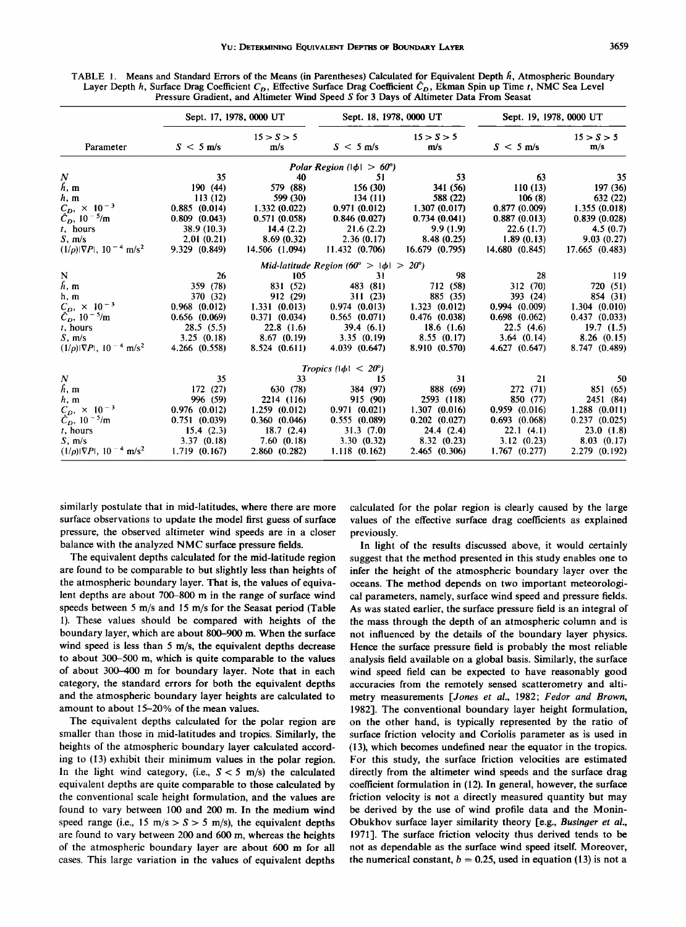| Parameter                                                | Sept. 17, 1978, 0000 UT |                   | Sept. 18, 1978, 0000 UT                    |                   | Sept. 19, 1978, 0000 UT |                   |
|----------------------------------------------------------|-------------------------|-------------------|--------------------------------------------|-------------------|-------------------------|-------------------|
|                                                          | $S < 5$ m/s             | 15 > S > 5<br>m/s | $S < 5$ m/s                                | 15 > S > 5<br>m/s | $S < 5$ m/s             | 15 > S > 5<br>m/s |
|                                                          |                         |                   | Polar Region $( \phi  > 60^{\circ})$       |                   |                         |                   |
| N                                                        | 35                      | 40                | 51                                         | 53                | 63                      | 35                |
| h, m                                                     | 190(44)                 | 579 (88)          | 156 (30)                                   | 341 (56)          | 110(13)                 | 197 (36)          |
| h, m                                                     | 113(12)                 | 599 (30)          | 134(11)                                    | 588 (22)          | 106(8)                  | 632 (22)          |
| $C_D, \times 10^{-3}$                                    | 0.885(0.014)            | 1.332(0.022)      | 0.971(0.012)                               | 1.307(0.017)      | 0.877(0.009)            | 1.355 (0.018)     |
| $C_D$ , 10 <sup>-5</sup> /m                              | $0.809$ $(0.043)$       | 0.571(0.058)      | 0.846(0.027)                               | 0.734(0.041)      | 0.887(0.013)            | 0.839(0.028)      |
| $t$ , hours                                              | 38.9 (10.3)             | 14.4(2.2)         | 21.6(2.2)                                  | 9.9(1.9)          | 22.6(1.7)               | 4.5(0.7)          |
| S, m/s                                                   | 2.01(0.21)              | 8.69(0.32)        | 2.36(0.17)                                 | 8.48(0.25)        | 1.89(0.13)              | 9.03(0.27)        |
| $(1/\rho) \nabla P , 10^{-4}$ m/s <sup>2</sup>           | 9.329(0.849)            | 14.506 (1.094)    | 11.432(0.706)                              | 16.679(0.795)     | 14.680(0.845)           | 17.665 (0.483)    |
|                                                          |                         |                   | Mid-latitude Region (60° > $ \phi $ > 20°) |                   |                         |                   |
| ${\bf N}$                                                | 26                      | 105               | 31                                         | 98                | 28                      | 119               |
| h, m                                                     | 359 (78)                | 831 (52)          | 483 (81)                                   | 712 (58)          | 312 (70)                | 720 (51)          |
| h, m                                                     | 370 (32)                | 912 (29)          | 311(23)                                    | 885 (35)          | 393 (24)                | 854 (31)          |
| $C_D$ , $\times$ 10 <sup>-3</sup>                        | $0.968$ $(0.012)$       | 1.331(0.013)      | 0.974(0.013)                               | 1.323(0.012)      | 0.994(0.009)            | 1.304(0.010)      |
| $C_D$ , 10 <sup>-5</sup> /m                              | 0.656(0.069)            | 0.371(0.034)      | 0.565(0.071)                               | $0.476$ (0.038)   | $0.698$ $(0.062)$       | 0.437(0.033)      |
| $t$ , hours                                              | 28.5(5.5)               | 22.8(1.6)         | 39.4(6.1)                                  | 18.6(1.6)         | 22.5(4.6)               | 19.7(1.5)         |
| $S$ , m/s                                                | 3.25(0.18)              | 8.67(0.19)        | 3.35(0.19)                                 | 8.55(0.17)        | 3.64(0.14)              | 8.26(0.15)        |
| $(1/\rho) \nabla P $ , 10 <sup>-4</sup> m/s <sup>2</sup> | 4.266 (0.558)           | 8.524(0.611)      | 4.039 (0.647)                              | 8.910 (0.570)     | 4.627 (0.647)           | 8.747 (0.489)     |
|                                                          |                         |                   | <i>Tropics</i> $( \phi  < 20^{\circ})$     |                   |                         |                   |
| N                                                        | 35                      | 33                | 15                                         | 31                | 21                      | 50                |
| h, m                                                     | 172 (27)                | 630 (78)          | 384 (97)                                   | 888 (69)          | 272 (71)                | 851 (65)          |
| h, m                                                     | 996 (59)                | 2214 (116)        | 915 (90)                                   | 2593 (118)        | 850 (77)                | 2451 (84)         |
| $C_D$ , $\times$ 10 <sup>-3</sup>                        | 0.976(0.012)            | 1.259(0.012)      | 0.971(0.021)                               | 1.307(0.016)      | 0.959(0.016)            | 1.288(0.011)      |
| $C_D$ , 10 <sup>-5</sup> /m                              | 0.751(0.039)            | 0.360(0.046)      | 0.555(0.089)                               | $0.202$ $(0.027)$ | 0.693(0.068)            | 0.237(0.025)      |
| $t$ , hours                                              | 15.4(2.3)               | 18.7(2.4)         | 31.3(7.0)                                  | 24.4(2.4)         | 22.1(4.1)               | 23.0(1.8)         |
| S, m/s                                                   | 3.37(0.18)              | 7.60(0.18)        | 3.30(0.32)                                 | 8.32(0.23)        | 3.12(0.23)              | 8.03(0.17)        |
| $(1/\rho) \nabla P $ , 10 <sup>-4</sup> m/s <sup>2</sup> | 1.719(0.167)            | 2.860(0.282)      | 1.118(0.162)                               | 2.465(0.306)      | 1.767(0.277)            | 2.279 (0.192)     |
|                                                          |                         |                   |                                            |                   |                         |                   |

**TABLE 1. Means and Standard Errors of the Means (in Parentheses) Calculated for Equivalent Depth/•, Atmospheric Boundary**  Layer Depth h, Surface Drag Coefficient  $C_D$ , Effective Surface Drag Coefficient  $\hat{C}_D$ , Ekman Spin up Time t, NMC Sea Level **Pressure Gradient, and Altimeter Wind Speed S for 3 Days of Altimeter Data From Seasat** 

**similarly postulate that in mid-latitudes, where there are more surface observations to update the model first guess of surface pressure, the observed altimeter wind speeds are in a closer balance with the analyzed NMC surface pressure fields.** 

**The equivalent depths calculated for the mid-latitude region are found to be comparable to but slightly less than heights of the atmospheric boundary layer. That is, the values of equivalent depths are about 700-800 m in the range of surface wind speeds between 5 m/s and 15 m/s for the Seasat period (Table 1). These values should be compared with heights of the boundary layer, which are about 800-900 m. When the surface wind speed is less than 5 m/s, the equivalent depths decrease to about 300-500 m, which is quite comparable to the values of about 300-400 m for boundary layer. Note that in each category, the standard errors for both the equivalent depths and the atmospheric boundary layer heights are calculated to amount to about 15-20% of the mean values.** 

**The equivalent depths calculated for the polar region are smaller than those in mid-latitudes and tropics. Similarly, the heights of the atmospheric boundary layer calculated according to (13) exhibit their minimum values in the polar region.**  In the light wind category, (i.e.,  $S < 5$  m/s) the calculated **equivalent depths are quite comparable to those calculated by the conventional scale height formulation, and the values are found to vary between 100 and 200 m. In the medium wind**  speed range (i.e., 15 m/s  $> S > 5$  m/s), the equivalent depths **are found to vary between 200 and 600 m, whereas the heights of the atmospheric boundary layer are about 600 m for all cases. This large variation in the values of equivalent depths** 

**calculated for the polar region is clearly caused by the large values of the effective surface drag coefficients as explained previously.** 

**In light of the results discussed above, it would certainly suggest that the method presented in this study enables one to infer the height of the atmospheric boundary layer over the oceans. The method depends on two important meteorological parameters, namely, surface wind speed and pressure fields. As was stated earlier, the surface pressure field is an integral of the mass through the depth of an atmospheric column and is not influenced by the details of the boundary layer physics. Hence the surface pressure field is probably the most reliable analysis field available on a global basis. Similarly, the surface wind speed field can be expected to have reasonably good accuracies from the remotely sensed scatterometry and altimetry measurements [Jones et al., 1982; Fedor and Brown, 1982]. The conventional boundary layer height formulation, on the other hand, is typically represented by the ratio of surface friction velocity and Coriolis parameter as is used in (13), which becomes undefined near the equator in the tropics. For this study, the surface friction velocities are estimated directly from the altimeter wind speeds and the surface drag coefficient formulation in (12). In general, however, the surface friction velocity is not a directly measured quantity but may be derived by the use of wind profile data and the Monin-**Obukhov surface layer similarity theory [e.g., Businger et al., **1971]. The surface friction velocity thus derived tends to be not as dependable as the surface wind speed itself. Moreover,**  the numerical constant,  $b = 0.25$ , used in equation (13) is not a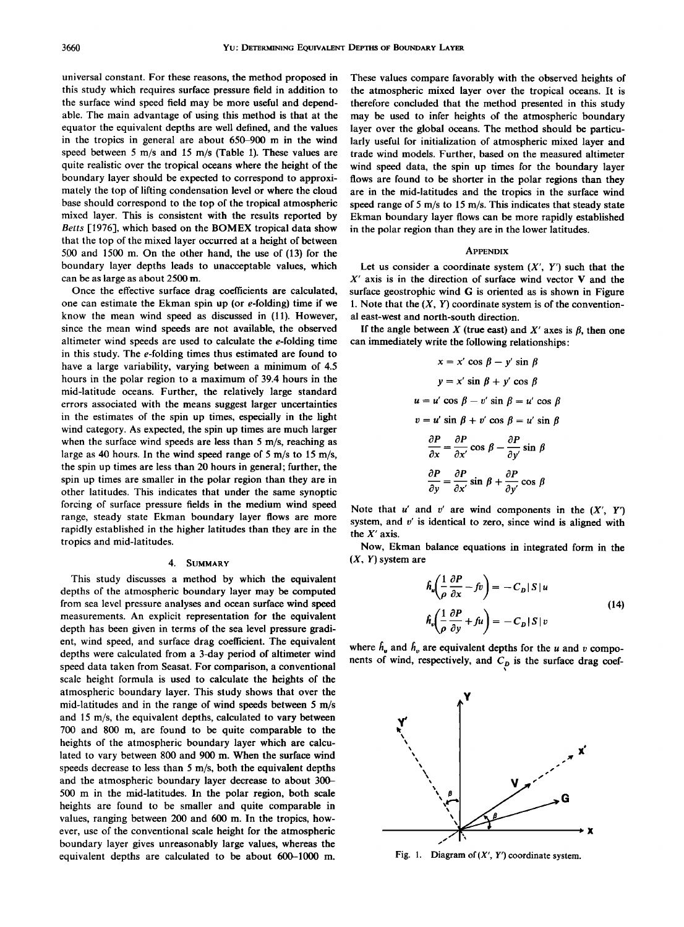**universal constant. For these reasons, the method proposed in this study which requires surface pressure field in addition to the surface wind speed field may be more useful and dependable. The main advantage of using this method is that at the equator the equivalent depths are well defined, and the values in the tropics in general are about 650-900 m in the wind speed between 5 m/s and 15 m/s (Table 1). These values are quite realistic over the tropical oceans where the height of the boundary layer should be expected to correspond to approximately the top of lifting condensation level or where the cloud base should correspond to the top of the tropical atmospheric mixed layer. This is consistent with the results reported by Betts [1976], which based on the BOMEX tropical data show that the top of the mixed layer occurred at a height of between 500 and 1500 m. On the other hand, the use of (13) for the boundary layer depths leads to unacceptable values, which can be as large as about 2500 m.** 

**Once the effective surface drag coefficients are calculated, one can estimate the Ekman spin up (or e-folding) time if we know the mean wind speed as discussed in (11). However, since the mean wind speeds are not available, the observed altimeter wind speeds are used to calculate the e-folding time in this study. The e-folding times thus estimated are found to have a large variability, varying between a minimum of 4.5 hours in the polar region to a maximum of 39.4 hours in the mid-latitude oceans. Further, the relatively large standard errors associated with the means suggest larger uncertainties in the estimates of the spin up times, especially in the light wind category. As expected, the spin up times are much larger when the surface wind speeds are less than 5 m/s, reaching as large as 40 hours. In the wind speed range of 5 m/s to 15 m/s, the spin up times are less than 20 hours in general; further, the spin up times are smaller in the polar region than they are in other latitudes. This indicates that under the same synoptic forcing of surface pressure fields in the medium wind speed range, steady state Ekman boundary layer flows are more rapidly established in the higher latitudes than they are in the tropics and mid-latitudes.** 

#### **4. SUMMARY**

**This study discusses a method by which the equivalent depths of the atmospheric boundary layer may be computed from sea level pressure analyses and ocean surface wind speed measurements. An explicit representation for the equivalent depth has been given in terms of the sea level pressure gradient, wind speed, and surface drag coefficient. The equivalent depths were calculated from a 3-day period of altimeter wind speed data taken from Seasat. For comparison, a conventional scale height formula is used to calculate the heights of the atmospheric boundary layer. This study shows that over the mid-latitudes and in the range of wind speeds between 5 m/s and 15 m/s, the equivalent depths, calculated to vary between 700 and 800 m, are found to be quite comparable to the heights of the atmospheric boundary layer which are calculated to vary between 800 and 900 m. When the surface wind speeds decrease to less than 5 m/s, both the equivalent depths and the atmospheric boundary layer decrease to about 300- 500 m in the mid-latitudes. In the polar region, both scale heights are found to be smaller and quite comparable in values, ranging between 200 and 600 m. In the tropics, however, use of the conventional scale height for the atmospheric boundary layer gives unreasonably large values, whereas the equivalent depths are calculated to be about 600-1000 m.** 

**These values compare favorably with the observed heights of the atmospheric mixed layer over the tropical oceans. It is therefore concluded that the method presented in this study may be used to infer heights of the atmospheric boundary layer over the global oceans. The method should be particularly useful for initialization of atmospheric mixed layer and trade wind models. Further, based on the measured altimeter wind speed data, the spin up times for the boundary layer flows are found to be shorter in the polar regions than they are in the mid-latitudes and the tropics in the surface wind speed range of 5 m/s to 15 m/s. This indicates that steady state Ekman boundary layer flows can be more rapidly established in the polar region than they are in the lower latitudes.** 

#### **APPENDIX**

Let us consider a coordinate system  $(X', Y')$  such that the **X' axis is in the direction of surface wind vector ¾ and the surface geostrophic wind G is oriented as is shown in Figure 1. Note that the (X, Y) coordinate system is of the conventional east-west and north-south direction.** 

If the angle between  $X$  (true east) and  $X'$  axes is  $\beta$ , then one **can immediately write the following relationships:** 

$$
x = x' \cos \beta - y' \sin \beta
$$
  
\n
$$
y = x' \sin \beta + y' \cos \beta
$$
  
\n
$$
u = u' \cos \beta - v' \sin \beta = u' \cos \beta
$$
  
\n
$$
v = u' \sin \beta + v' \cos \beta = u' \sin \beta
$$
  
\n
$$
\frac{\partial P}{\partial x} = \frac{\partial P}{\partial x'} \cos \beta - \frac{\partial P}{\partial y'} \sin \beta
$$
  
\n
$$
\frac{\partial P}{\partial y} = \frac{\partial P}{\partial x'} \sin \beta + \frac{\partial P}{\partial y'} \cos \beta
$$

Note that  $u'$  and  $v'$  are wind components in the  $(X', Y')$ **system, and v' is identical to zero, since wind is aligned with the X' axis.** 

**Now, Ekman balance equations in integrated form in the (X, Y) system are** 

$$
\hat{h}_{u} \left( \frac{1}{\rho} \frac{\partial P}{\partial x} - f v \right) = -C_{D} |S| u
$$
\n
$$
\hat{h}_{v} \left( \frac{1}{\rho} \frac{\partial P}{\partial v} + f u \right) = -C_{D} |S| v
$$
\n(14)

where  $h_u$  and  $h_v$  are equivalent depths for the u and v components of wind, respectively, and C<sub>p</sub> is the surface drag coef-



**Fig. 1. Diagram of (X', Y') coordinate system.**